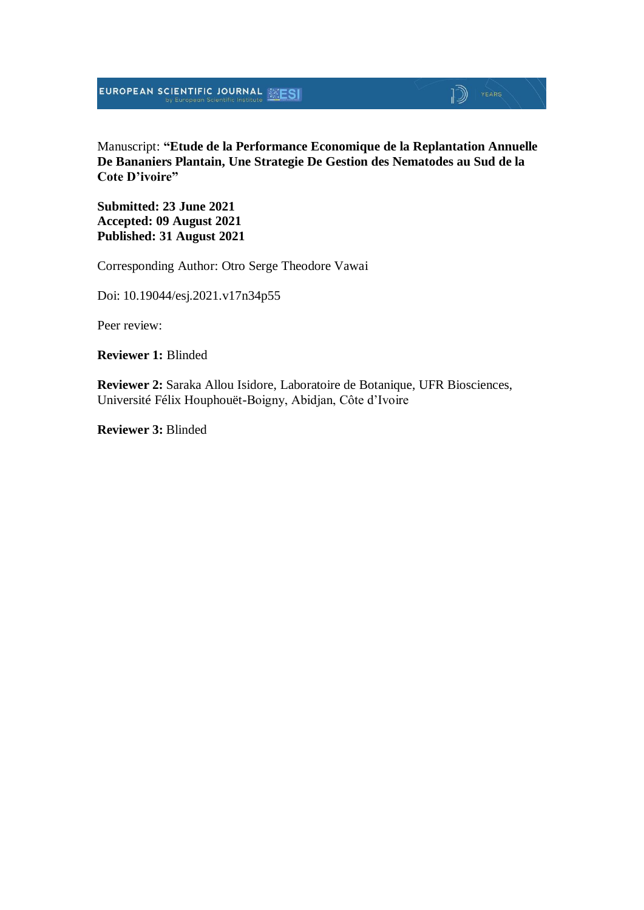Manuscript: **"Etude de la Performance Economique de la Replantation Annuelle De Bananiers Plantain, Une Strategie De Gestion des Nematodes au Sud de la Cote D'ivoire"**

**Submitted: 23 June 2021 Accepted: 09 August 2021 Published: 31 August 2021**

Corresponding Author: Otro Serge Theodore Vawai

Doi: 10.19044/esj.2021.v17n34p55

Peer review:

**Reviewer 1:** Blinded

**Reviewer 2:** Saraka Allou Isidore, Laboratoire de Botanique, UFR Biosciences, Université Félix Houphouët-Boigny, Abidjan, Côte d'Ivoire

**Reviewer 3:** Blinded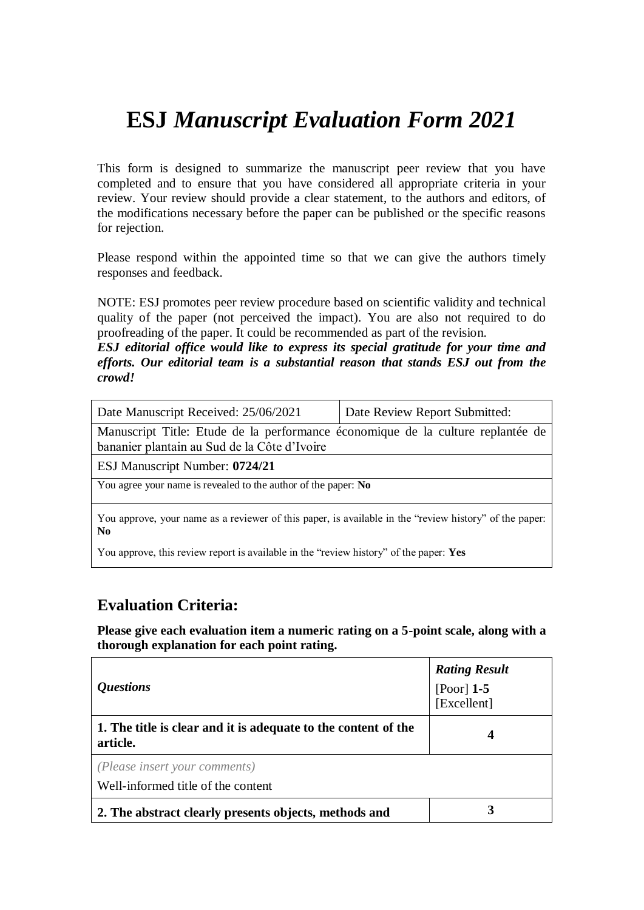## **ESJ** *Manuscript Evaluation Form 2021*

This form is designed to summarize the manuscript peer review that you have completed and to ensure that you have considered all appropriate criteria in your review. Your review should provide a clear statement, to the authors and editors, of the modifications necessary before the paper can be published or the specific reasons for rejection.

Please respond within the appointed time so that we can give the authors timely responses and feedback.

NOTE: ESJ promotes peer review procedure based on scientific validity and technical quality of the paper (not perceived the impact). You are also not required to do proofreading of the paper. It could be recommended as part of the revision.

*ESJ editorial office would like to express its special gratitude for your time and efforts. Our editorial team is a substantial reason that stands ESJ out from the crowd!*

| Date Manuscript Received: 25/06/2021                                                                                            | Date Review Report Submitted: |  |  |
|---------------------------------------------------------------------------------------------------------------------------------|-------------------------------|--|--|
| Manuscript Title: Etude de la performance économique de la culture replantée de<br>bananier plantain au Sud de la Côte d'Ivoire |                               |  |  |
| ESJ Manuscript Number: 0724/21                                                                                                  |                               |  |  |
| You agree your name is revealed to the author of the paper: No                                                                  |                               |  |  |
| You approve, your name as a reviewer of this paper, is available in the "review history" of the paper:<br>N <sub>0</sub>        |                               |  |  |

You approve, this review report is available in the "review history" of the paper: **Yes**

#### **Evaluation Criteria:**

**Please give each evaluation item a numeric rating on a 5-point scale, along with a thorough explanation for each point rating.**

| <i><b>Questions</b></i>                                                    | <b>Rating Result</b><br>[Poor] $1-5$<br>[Excellent] |
|----------------------------------------------------------------------------|-----------------------------------------------------|
| 1. The title is clear and it is adequate to the content of the<br>article. | 4                                                   |
| (Please insert your comments)<br>Well-informed title of the content        |                                                     |
| 2. The abstract clearly presents objects, methods and                      |                                                     |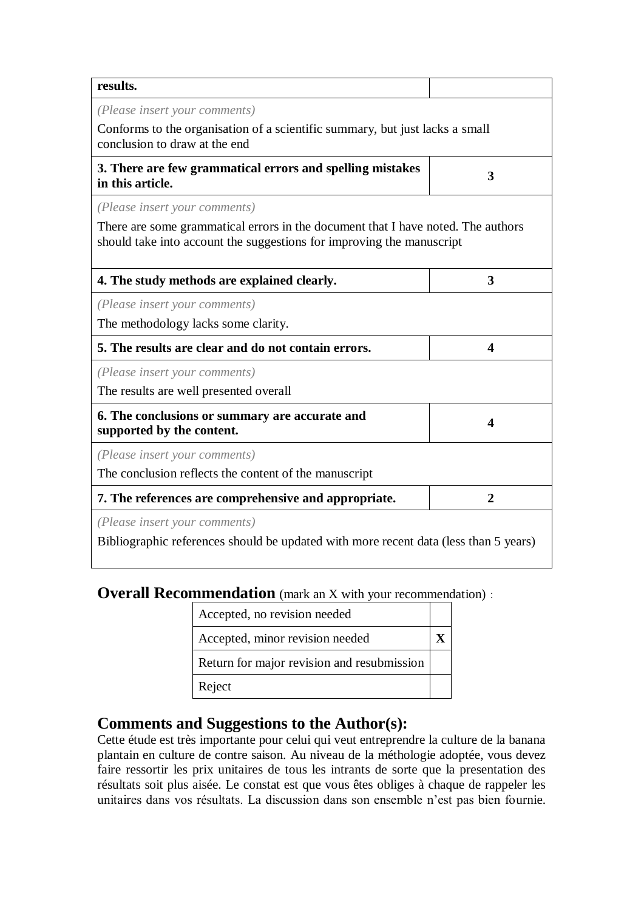| results.                                                                                                                                                  |                |
|-----------------------------------------------------------------------------------------------------------------------------------------------------------|----------------|
| (Please insert your comments)                                                                                                                             |                |
| Conforms to the organisation of a scientific summary, but just lacks a small<br>conclusion to draw at the end                                             |                |
| 3. There are few grammatical errors and spelling mistakes<br>in this article.                                                                             | 3              |
| (Please insert your comments)                                                                                                                             |                |
| There are some grammatical errors in the document that I have noted. The authors<br>should take into account the suggestions for improving the manuscript |                |
| 4. The study methods are explained clearly.                                                                                                               | 3              |
| (Please insert your comments)                                                                                                                             |                |
| The methodology lacks some clarity.                                                                                                                       |                |
| 5. The results are clear and do not contain errors.                                                                                                       | 4              |
| (Please insert your comments)                                                                                                                             |                |
| The results are well presented overall                                                                                                                    |                |
| 6. The conclusions or summary are accurate and<br>supported by the content.                                                                               | Δ              |
| (Please insert your comments)                                                                                                                             |                |
| The conclusion reflects the content of the manuscript                                                                                                     |                |
| 7. The references are comprehensive and appropriate.                                                                                                      | $\overline{2}$ |
| (Please insert your comments)                                                                                                                             |                |
| Bibliographic references should be updated with more recent data (less than 5 years)                                                                      |                |

## **Overall Recommendation** (mark an X with your recommendation):

| Accepted, no revision needed               |  |
|--------------------------------------------|--|
| Accepted, minor revision needed            |  |
| Return for major revision and resubmission |  |
| Reject                                     |  |

## **Comments and Suggestions to the Author(s):**

Cette étude est très importante pour celui qui veut entreprendre la culture de la banana plantain en culture de contre saison. Au niveau de la méthologie adoptée, vous devez faire ressortir les prix unitaires de tous les intrants de sorte que la presentation des résultats soit plus aisée. Le constat est que vous êtes obliges à chaque de rappeler les unitaires dans vos résultats. La discussion dans son ensemble n'est pas bien fournie.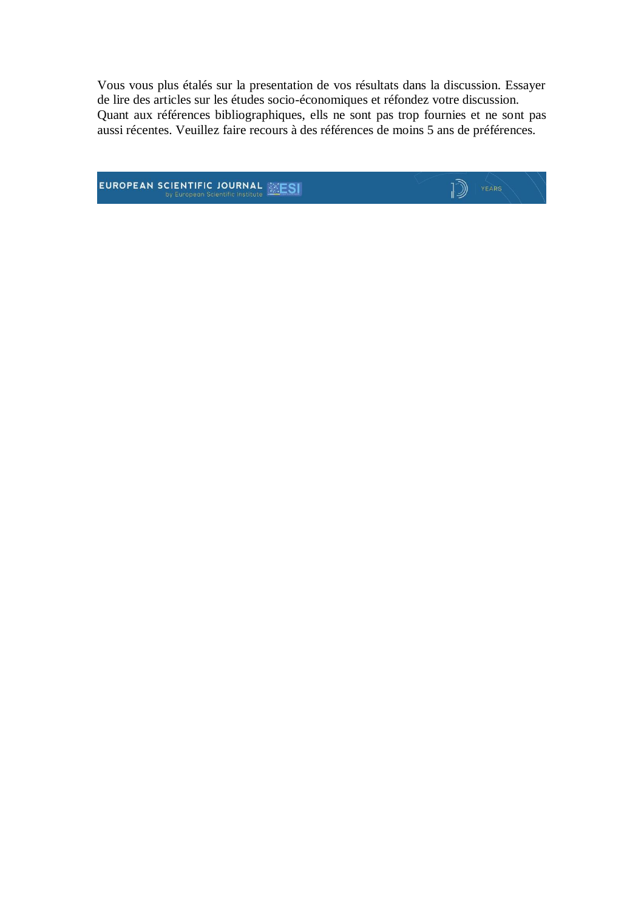Vous vous plus étalés sur la presentation de vos résultats dans la discussion. Essayer de lire des articles sur les études socio-économiques et réfondez votre discussion. Quant aux références bibliographiques, ells ne sont pas trop fournies et ne sont pas aussi récentes. Veuillez faire recours à des références de moins 5 ans de préférences.

**EUROPEAN SCIENTIFIC JOURNAL EXESI** 

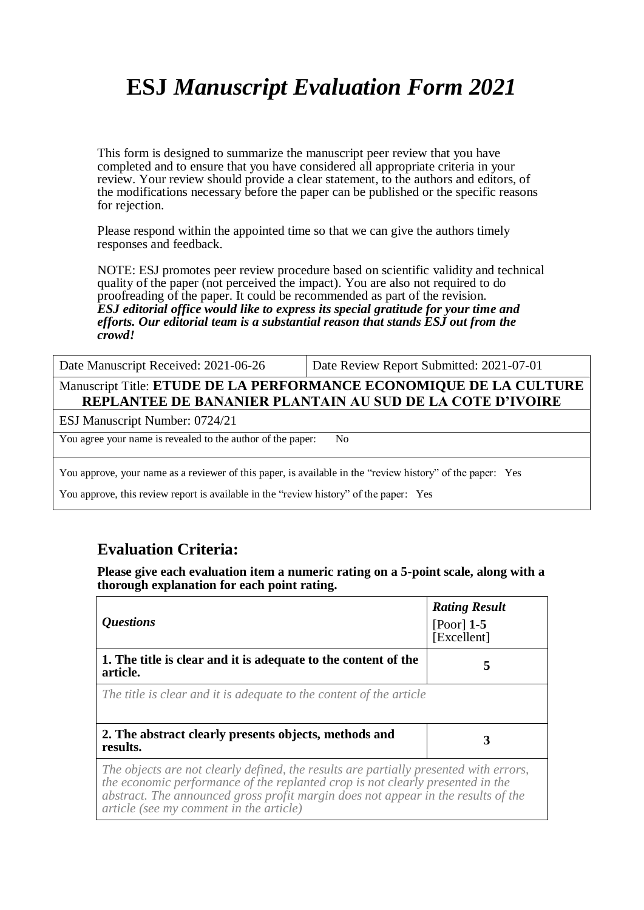# **ESJ** *Manuscript Evaluation Form 2021*

This form is designed to summarize the manuscript peer review that you have completed and to ensure that you have considered all appropriate criteria in your review. Your review should provide a clear statement, to the authors and editors, of the modifications necessary before the paper can be published or the specific reasons for rejection.

Please respond within the appointed time so that we can give the authors timely responses and feedback.

NOTE: ESJ promotes peer review procedure based on scientific validity and technical quality of the paper (not perceived the impact). You are also not required to do proofreading of the paper. It could be recommended as part of the revision. *ESJ editorial office would like to express its special gratitude for your time and efforts. Our editorial team is a substantial reason that stands ESJ out from the crowd!* 

Date Manuscript Received: 2021-06-26 Date Review Report Submitted: 2021-07-01

Manuscript Title: **ETUDE DE LA PERFORMANCE ECONOMIQUE DE LA CULTURE REPLANTEE DE BANANIER PLANTAIN AU SUD DE LA COTE D'IVOIRE**

ESJ Manuscript Number: 0724/21

You agree your name is revealed to the author of the paper: No

You approve, your name as a reviewer of this paper, is available in the "review history" of the paper: Yes

You approve, this review report is available in the "review history" of the paper: Yes

#### **Evaluation Criteria:**

**Please give each evaluation item a numeric rating on a 5-point scale, along with a thorough explanation for each point rating.**

| <i><b>Ouestions</b></i>                                                                                                                                                                                                                                                                                 | <b>Rating Result</b><br>[Poor] $1-5$<br>[Excellent] |
|---------------------------------------------------------------------------------------------------------------------------------------------------------------------------------------------------------------------------------------------------------------------------------------------------------|-----------------------------------------------------|
| 1. The title is clear and it is adequate to the content of the<br>article.                                                                                                                                                                                                                              | 5                                                   |
| The title is clear and it is adequate to the content of the article                                                                                                                                                                                                                                     |                                                     |
| 2. The abstract clearly presents objects, methods and<br>results.                                                                                                                                                                                                                                       | 3                                                   |
| The objects are not clearly defined, the results are partially presented with errors,<br>the economic performance of the replanted crop is not clearly presented in the<br>abstract. The announced gross profit margin does not appear in the results of the<br>article (see my comment in the article) |                                                     |